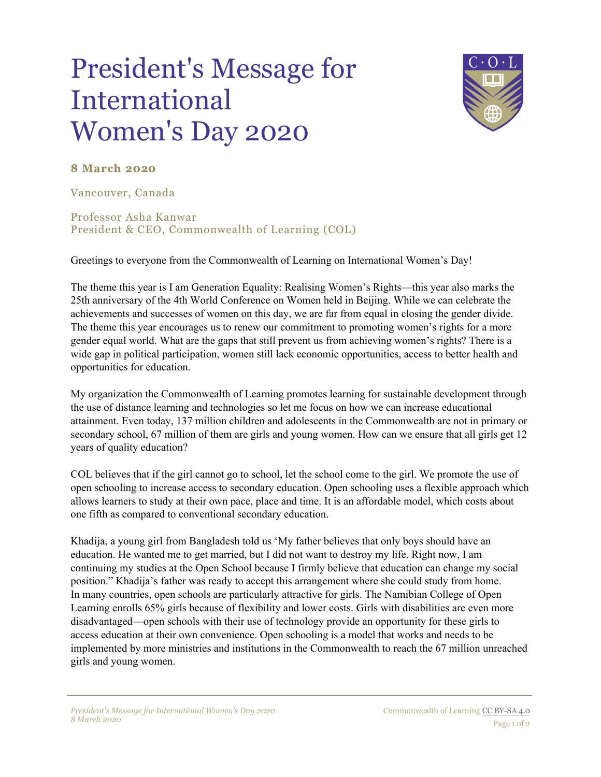## President's Message for International Women's Day 2020



## **8 March 2020**

Vancouver, Canada

Professor Asha Kanwar President & CEO, Commonwealth of Learning (COL)

Greetings to everyone from the Commonwealth of Learning on International Women's Day!

The theme this year is I am Generation Equality: Realising Women's Rights—this year also marks the 25th anniversary of the 4th World Conference on Women held in Beijing. While we can celebrate the achievements and successes of women on this day, we are far from equal in closing the gender divide. The theme this year encourages us to renew our commitment to promoting women's rights for a more gender equal world. What are the gaps that still prevent us from achieving women's rights? There is a wide gap in political participation, women still lack economic opportunities, access to better health and opportunities for education.

My organization the Commonwealth of Learning promotes learning for sustainable development through the use of distance learning and technologies so let me focus on how we can increase educational attainment. Even today, 137 million children and adolescents in the Commonwealth are not in primary or secondary school, 67 million of them are girls and young women. How can we ensure that all girls get 12 years of quality education?

COL believes that if the girl cannot go to school, let the school come to the girl. We promote the use of open schooling to increase access to secondary education. Open schooling uses a flexible approach which allows learners to study at their own pace, place and time. It is an affordable model, which costs about one fifth as compared to conventional secondary education.

Khadija, a young girl from Bangladesh told us 'My father believes that only boys should have an education. He wanted me to get married, but I did not want to destroy my life. Right now, I am continuing my studies at the Open School because I firmly believe that education can change my social position." Khadija's father was ready to accept this arrangement where she could study from home. In many countries, open schools are particularly attractive for girls. The Namibian College of Open Learning enrolls 65% girls because of flexibility and lower costs. Girls with disabilities are even more disadvantaged—open schools with their use of technology provide an opportunity for these girls to access education at their own convenience. Open schooling is a model that works and needs to be implemented by more ministries and institutions in the Commonwealth to reach the 67 million unreached girls and young women.